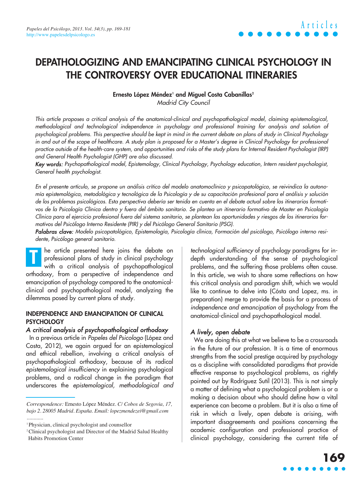# **DEPATHOLOGIZING AND EMANCIPATING CLINICAL PSYCHOLOGY IN THE CONTROVERSY OVER EDUCATIONAL ITINERARIES**

#### Ernesto López Méndez<sup>1</sup> and Miguel Costa Cabanillas<sup>2</sup>

Madrid City Council

This article proposes a critical analysis of the anatomical-clinical and psychopathological model, claiming epistemological, methodological and technological independence in psychology and professional training for analysis and solution of psychological problems. This perspective should be kept in mind in the current debate on plans of study in Clinical Psychology in and out of the scope of healthcare. A study plan is proposed for a Master's degree in Clinical Psychology for professional practice outside of the health-care system, and opportunities and risks of the study plans for Internal Resident Psychologist (IRP) and General Health Psychologist (GHP) are also discussed.

Key words: Psychopathological model, Epistemology, Clinical Psychology, Psychology education, Intern resident psychologist, General health psychologist.

En el presente artículo, se propone un análisis crítico del modelo anatomoclínico y psicopatológico, se reivindica la autonomía epistemológica, metodológica y tecnológica de la Psicología y de su capacitación profesional para el análisis y solución de los problemas psicológicos. Esta perspectiva debería ser tenida en cuenta en el debate actual sobre los itinerarios formativos de la Psicología Clínica dentro y fuera del ámbito sanitario. Se plantea un itinerario formativo de Master en Psicología Clínica para el ejercicio profesional fuera del sistema sanitario, se plantean las oportunidades y riesgos de los itinerarios formativos del Psicólogo Interno Residente (PIR) y del Psicólogo General Sanitario (PSG).

Palabras clave: Modelo psicopatológico, Epistemología, Psicología clínica, Formación del psicólogo, Psicólogo interno residente, Psicólogo general sanitario.

he article presented here joins the debate on professional plans of study in clinical psychology with a critical analysis of psychopathological orthodoxy, from a perspective of independence and emancipation of psychology compared to the anatomicalclinical and psychopathological model, analyzing the dilemmas posed by current plans of study. **T**

#### **INDEPENDENCE AND EMANCIPATION OF CLINICAL PSYCHOLOGY**

#### A critical analysis of psychopathological orthodoxy

In a previous article in Papeles del Psicologo (López and Costa, 2012), we again argued for an epistemological and ethical rebellion, involving a critical analysis of psychopathological orthodoxy, because of its radical epistemological insufficiency in explaining psychological problems, and a radical change in the paradigm that underscores the epistemological, methodological and technological sufficiency of psychology paradigms for indepth understanding of the sense of psychological problems, and the suffering those problems often cause. In this article, we wish to share some reflections on how this critical analysis and paradigm shift, which we would like to continue to delve into (Cósta and Lopez, ms. in preparation) merge to provide the basis for a process of independence and emancipation of psychology from the anatomical-clinical and psychopathological model.

## A lively, open debate

We are doing this at what we believe to be a crossroads in the future of our profession. It is a time of enormous strengths from the social prestige acquired by psychology as a discipline with consolidated paradigms that provide effective response to psychological problems, as rightly pointed out by Rodríguez Sutil (2013). This is not simply a matter of defining what a psychological problem is or a making a decision about who should define how a vital experience can become a problem. But it is also a time of risk in which a lively, open debate is arising, with important disagreements and positions concerning the academic configuration and professional practice of clinical psychology, considering the current title of

*Correspondence:* Ernesto López Méndez. *C/ Cobos de Segovia, 17, bajo 2. 28005 Madrid. España. Email: lopezmendezei@gmail.com ............*

<sup>1</sup> Physician, clinical psychologist and counsellor

<sup>2</sup> Clinical psychologist and Director of the Madrid Salud Healthy Habits Promotion Center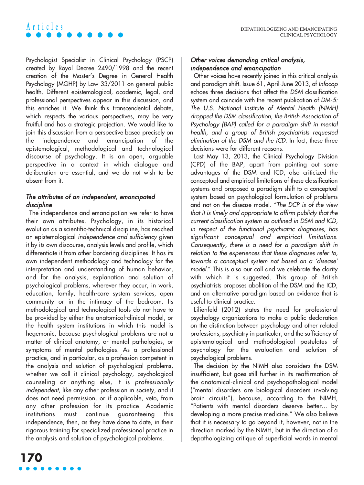# **Articles**

Psychologist Specialist in Clinical Psychology (PSCP) created by Royal Decree 2490/1998 and the recent creation of the Master's Degree in General Health Psychology (MGHP) by Law 33/2011 on general public health. Different epistemological, academic, legal, and professional perspectives appear in this discussion, and this enriches it. We think this transcendental debate, which respects the various perspectives, may be very fruitful and has a strategic projection. We would like to join this discussion from a perspective based precisely on the independence and emancipation of the epistemological, methodological and technological discourse of psychology. It is an open, arguable perspective in a context in which dialogue and deliberation are essential, and we do not wish to be absent from it.

# The attributes of an independent, emancipated discipline

The independence and emancipation we refer to have their own attributes. Psychology, in its historical evolution as a scientific-technical discipline, has reached an epistemological independence and sufficiency given it by its own discourse, analysis levels and profile, which differentiate it from other bordering disciplines. It has its own independent methodology and technology for the interpretation and understanding of human behavior, and for the analysis, explanation and solution of psychological problems, wherever they occur, in work, education, family, health-care system services, open community or in the intimacy of the bedroom. Its methodological and technological tools do not have to be provided by either the anatomical-clinical model, or the health system institutions in which this model is hegemonic, because psychological problems are not a matter of clinical anatomy, or mental pathologies, or symptoms of mental pathologies. As a professional practice, and in particular, as a profession competent in the analysis and solution of psychological problems, whether we call it clinical psychology, psychological counseling or anything else, it is professionally independent, like any other profession in society, and it does not need permission, or if applicable, veto, from any other profession for its practice. Academic institutions must continue guaranteeing this independence, then, as they have done to date, in their rigorous training for specialized professional practice in the analysis and solution of psychological problems.

# Other voices demanding critical analysis, independence and emancipation

Other voices have recently joined in this critical analysis and paradigm shift. Issue 61, April-June 2013, of Infocop echoes three decisions that affect the DSM classification system and coincide with the recent publication of DM-5: The U.S. National Institute of Mental Health (NIMH) dropped the DSM classification, the British Association of Psychology (BAP) called for a paradigm shift in mental health, and a group of British psychiatrists requested elimination of the DSM and the ICD. In fact, these three decisions were for different reasons.

Last May 13, 2013, the Clinical Psychology Division (CPD) of the BAP, apart from pointing out some advantages of the DSM and ICD, also criticized the conceptual and empirical limitations of these classification systems and proposed a paradigm shift to a conceptual system based on psychological formulation of problems and not on the disease model. "The DCP is of the view that it is timely and appropriate to affirm publicly that the current classification system as outlined in DSM and ICD, in respect of the functional psychiatric diagnoses, has significant conceptual and empirical limitations. Consequently, there is a need for a paradigm shift in relation to the experiences that these diagnoses refer to, towards a conceptual system not based on a 'disease' model." This is also our call and we celebrate the clarity with which it is suggested. This group of British psychiatrists proposes abolition of the DSM and the ICD, and an alternative paradigm based on evidence that is useful to clinical practice.

Lilienfeld (2012) states the need for professional psychology organizations to make a public declaration on the distinction between psychology and other related professions, psychiatry in particular, and the sufficiency of epistemological and methodological postulates of psychology for the evaluation and solution of psychological problems.

The decision by the NIMH also considers the DSM insufficient, but goes still further in its reaffirmation of the anatomical-clinical and psychopathological model ("mental disorders are biological disorders involving brain circuits"), because, according to the NIMH, "Patients with mental disorders deserve better... by developing a more precise medicine." We also believe that it is necessary to go beyond it, however, not in the direction marked by the NIMH, but in the direction of a depathologizing critique of superficial words in mental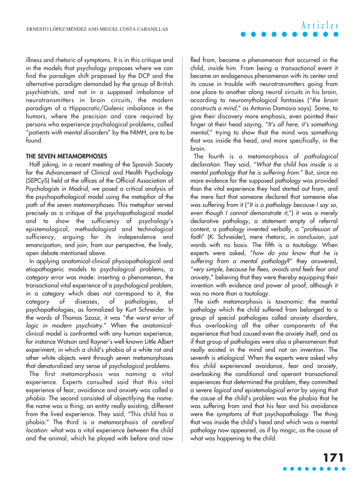illness and rhetoric of symptoms. It is in this critique and in the models that psychology proposes where we can find the paradigm shift proposed by the DCP and the alternative paradigm demanded by the group of British psychiatrists, and not in a supposed imbalance of neurotransmitters in brain circuits, the modern paradigm of a Hippocratic/Galenic imbalance in the humors, where the precision and care required by persons who experience psychological problems, called "patients with mental disorders" by the NIMH, are to be found.

#### **THE SEVEN METAMORPHOSES**

Half joking, in a recent meeting of the Spanish Society for the Advancement of Clinical and Health Psychology (SEPCyS) held at the offices of the Official Association of Psychologists in Madrid, we posed a critical analysis of the psychopathological model using the metaphor of the path of the seven metamorphoses. This metaphor served precisely as a critique of the psychopathological model and to show the sufficiency of psychology's epistemological, methodological and technological sufficiency, arguing for its independence and emancipation, and join, from our perspective, the lively, open debate mentioned above.

In applying anatomical-clinical physiopathological and etiopathogenic models to psychological problems, a category error was made: inserting a phenomenon, the transactional vital experience of a psychological problem, in a category which does not correspond to it, the category of diseases, of pathologies, of psychopathologies, as formalized by Kurt Schneider. In the words of Thomas Szasz, it was "the worst error of logic in modern psychiatry." When the anatomicalclinical model is confronted with any human experience, for instance Watson and Rayner's well-known Little Albert experiment, in which a child's phobia of a white rat and other white objects went through seven metamorphoses that denaturalized any sense of psychological problems.

The first metamorphosis was naming a vital experience. Experts consulted said that this vital experience of fear, avoidance and anxiety was called a <sup>p</sup>hobia. The second consisted of objectifying the name: the name was a thing, an entity really existing, different from the lived experience. They said, "This child has a phobia." The third is a metamorphosis of cerebral location: what was a vital experience between the child and the animal, which he played with before and now fled from, became a phenomenon that occurred in the child, inside him. From being a transactional event it became an endogenous phenomenon with its center and its cause in trouble with neurotransmitters going from one place to another along neural circuits in his brain, according to neuromythological fantasies ("the brain constructs a mind," as Antonio Damasio says). Some, to give their discovery more emphasis, even pointed their finger at their head saying, "It's all here, it's something mental," trying to show that the mind was something that was inside the head, and more specifically, in the brain.

The fourth is a metamorphosis of pathological declaration. They said, "What the child has inside is a mental pathology that he is suffering from." But, since no more evidence for the supposed pathology was provided than the vital experience they had started out from, and the mere fact that someone declared that someone else was suffering from it ("It is a pathology because I say so, even though I cannot demonstrate it,") it was a merely declarative pathology, a statement empty of referral content, a pathology invented verbally, a "profession of faith" (K. Schneider), mere rhetoric, in conclusion, just words with no basis. The fifth is a tautology. When experts were asked, "how do you know that he is suffering from a mental pathology?" they answered, "very simple, because he flees, avoids and feels fear and anxiety," believing that they were thereby equipping their invention with evidence and power of proof, although it was no more than a tautology.

The sixth metamorphosis is taxonomic: the mental pathology which the child suffered from belonged to a group of special pathologies called anxiety disorders, thus overlooking all the other components of the experience that had caused even the anxiety itself, and as if that group of pathologies were also a phenomenon that really existed in the mind and not an invention. The seventh is etiological. When the experts were asked why this child experienced avoidance, fear and anxiety, overlooking the conditional and operant transactional experiences that determined the problem, they committed a severe logical and epistemological error by saying that the cause of the child's problem was the phobia that he was suffering from and that his fear and his avoidance were the symptoms of that psychopathology. The thing that was inside the child's head and which was a mental pathology now appeared, as if by magic, as the cause of what was happening to the child.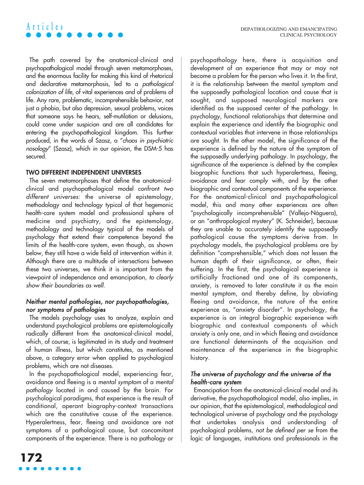The path covered by the anatomical-clinical and psychopathological model through seven metamorphoses, and the enormous facility for making this kind of rhetorical and declarative metamorphosis, led to a pathological colonization of life, of vital experiences and of problems of life. Any rare, problematic, incomprehensible behavior, not just a phobia, but also depression, sexual problems, voices that someone says he hears, self-mutilation or delusions, could come under suspicion and are all candidates for entering the psychopathological kingdom. This further produced, in the words of Szasz, a "chaos in psychiatric nosology" (Szasz), which in our opinion, the DSM-5 has secured.

#### **TWO DIFFERENT INDEPENDENT UNIVERSES**

**Articles**

The seven metamorphoses that define the anatomicalclinical and psychopathological model confront two different universes: the universe of epistemology, methodology and technology typical of that hegemonic health-care system model and professional sphere of medicine and psychiatry, and the epistemology, methodology and technology typical of the models of psychology that extend their competence beyond the limits of the health-care system, even though, as shown below, they still have a wide field of intervention within it. Although there are a multitude of intersections between these two universes, we think it is important from the viewpoint of independence and emancipation, to clearly show their boundaries as well.

### Neither mental pathologies, nor psychopathologies, nor symptoms of pathologies

The models psychology uses to analyze, explain and understand psychological problems are epistemologically radically different from the anatomical-clinical model, which, of course, is legitimated in its study and treatment of human illness, but which constitutes, as mentioned above, a category error when applied to psychological problems, which are not diseases.

In the psychopathological model, experiencing fear, avoidance and fleeing is a mental symptom of a mental pathology located in and caused by the brain. For psychological paradigms, that experience is the result of conditional, operant biography-context transactions which are the constitutive cause of the experience. Hyperalertness, fear, fleeing and avoidance are not symptoms of a pathological cause, but concomitant components of the experience. There is no pathology or psychopathology here, there is acquisition and development of an experience that may or may not become a problem for the person who lives it. In the first, it is the relationship between the mental symptom and the supposedly pathological location and cause that is sought, and supposed neurological markers are identified as the supposed center of the pathology. In psychology, functional relationships that determine and explain the experience and identify the biographic and contextual variables that intervene in those relationships are sought. In the other model, the significance of the experience is defined by the nature of the symptom of the supposedly underlying pathology. In psychology, the significance of the experience is defined by the complex biographic functions that such hyperalertness, fleeing, avoidance and fear comply with, and by the other biographic and contextual components of the experience. For the anatomical-clinical and psychopathological model, this and many other experiences are often "psychologically incomprehensible" (Vallejo-Náguera), or an "anthropological mystery" (K. Schneider), because they are unable to accurately identify the supposedly pathological cause the symptoms derive from. In psychology models, the psychological problems are by definition "comprehensible," which does not lessen the human depth of their significance, or often, their suffering. In the first, the psychological experience is artificially fractioned and one of its components, anxiety, is removed to later constitute it as the main mental symptom, and thereby define, by obviating fleeing and avoidance, the nature of the entire experience as, "anxiety disorder". In psychology, the experience is an integral biographic experience with biographic and contextual components of which anxiety is only one, and in which fleeing and avoidance are functional determinants of the acquisition and maintenance of the experience in the biographic history.

### The universe of psychology and the universe of the health-care system

Emancipation from the anatomical-clinical model and its derivative, the psychopathological model, also implies, in our opinion, that the epistemological, methodological and technological universe of psychology and the psychology that undertakes analysis and understanding of psychological problems, not be defined per se from the logic of languages, institutions and professionals in the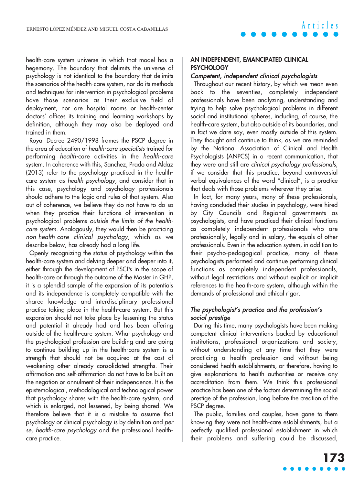health-care system universe in which that model has a hegemony. The boundary that delimits the universe of psychology is not identical to the boundary that delimits the scenarios of the health-care system, nor do its methods and techniques for intervention in psychological problems have those scenarios as their exclusive field of deployment, nor are hospital rooms or health-center doctors' offices its training and learning workshops by definition, although they may also be deployed and trained in them.

Royal Decree 2490/1998 frames the PSCP degree in the area of education of health-care specialists trained for performing health-care activities in the health-care system. In coherence with this, Sanchez, Prado and Aldaz (2013) refer to the psychology practiced in the healthcare system as health psychology, and consider that in this case, psychology and psychology professionals should adhere to the logic and rules of that system. Also out of coherence, we believe they do not have to do so when they practice their functions of intervention in psychological problems outside the limits of the healthcare system. Analogously, they would then be practicing non-health-care clinical psychology, which as we describe below, has already had a long life.

Openly recognizing the status of psychology within the health-care system and delving deeper and deeper into it, either through the development of PSCPs in the scope of health-care or through the outcome of the Master in GHP, it is a splendid sample of the expansion of its potentials and its independence is completely compatible with the shared knowledge and interdisciplinary professional practice taking place in the health-care system. But this expansion should not take place by lessening the status and potential it already had and has been offering outside of the health-care system. What psychology and the psychological profession are building and are going to continue building up in the health-care system is a strength that should not be acquired at the cost of weakening other already consolidated strengths. Their affirmation and self-affirmation do not have to be built on the negation or annulment of their independence. It is the epistemological, methodological and technological power that psychology shares with the health-care system, and which is enlarged, not lessened, by being shared. We therefore believe that it is a mistake to assume that psychology or clinical psychology is by definition and per se, health-care psychology and the professional healthcare practice.

#### **AN INDEPENDENT, EMANCIPATED CLINICAL PSYCHOLOGY**

#### Competent, independent clinical psychologists

Throughout our recent history, by which we mean even back to the seventies, completely independent professionals have been analyzing, understanding and trying to help solve psychological problems in different social and institutional spheres, including, of course, the health-care system, but also outside of its boundaries, and in fact we dare say, even mostly outside of this system. They thought and continue to think, as we are reminded by the National Association of Clinical and Health Psychologists (ANPCS) in a recent communication, that they were and still are clinical psychology professionals, if we consider that this practice, beyond controversial verbal equivalences of the word "clinical", is a practice that deals with those problems wherever they arise.

In fact, for many years, many of these professionals, having concluded their studies in psychology, were hired by City Councils and Regional governments as psychologists, and have practiced their clinical functions as completely independent professionals who are professionally, legally and in salary, the equals of other professionals. Even in the education system, in addition to their psycho-pedagogical practice, many of these psychologists performed and continue performing clinical functions as completely independent professionals, without legal restrictions and without explicit or implicit references to the health-care system, although within the demands of professional and ethical rigor.

#### The psychologist's practice and the profession's social prestige

During this time, many psychologists have been making competent clinical interventions backed by educational institutions, professional organizations and society, without understanding at any time that they were practicing a health profession and without being considered health establishments, or therefore, having to give explanations to health authorities or receive any accreditation from them. We think this professional practice has been one of the factors determining the social prestige of the profession, long before the creation of the PSCP degree.

The public, families and couples, have gone to them knowing they were not health-care establishments, but a perfectly qualified professional establishment in which their problems and suffering could be discussed,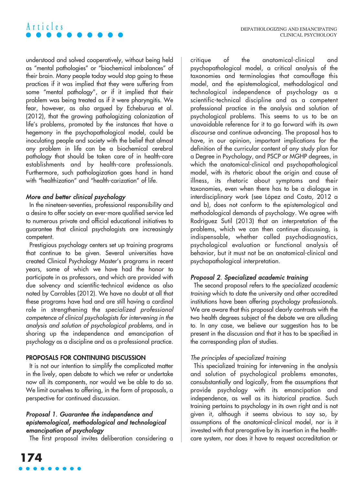

understood and solved cooperatively, without being held as "mental pathologies" or "biochemical imbalances" of their brain. Many people today would stop going to these practices if it was implied that they were suffering from some "mental pathology", or if it implied that their problem was being treated as if it were pharyngitis. We fear, however, as also argued by Echeburua et al. (2012), that the growing pathologizing colonization of life's problems, promoted by the instances that have a hegemony in the psychopathological model, could be inoculating people and society with the belief that almost any problem in life can be a biochemical cerebral pathology that should be taken care of in health-care establishments and by health-care professionals. Furthermore, such pathologization goes hand in hand with "healthization" and "health-carization" of life.

# More and better clinical psychology

In the nineteen-seventies, professional responsibility and a desire to offer society an ever-more qualified service led to numerous private and official educational initiatives to guarantee that clinical psychologists are increasingly competent.

Prestigious psychology centers set up training programs that continue to be given. Several universities have created Clinical Psychology Master's programs in recent years, some of which we have had the honor to participate in as professors, and which are provided with due solvency and scientific-technical evidence as also noted by Carrobles (2012). We have no doubt at all that these programs have had and are still having a cardinal role in strengthening the specialized professional competence of clinical psychologists for intervening in the analysis and solution of psychological problems, and in shoring up the independence and emancipation of psychology as a discipline and as a professional practice.

#### **PROPOSALS FOR CONTINUING DISCUSSION**

It is not our intention to simplify the complicated matter in the lively, open debate to which we refer or undertake now all its components, nor would we be able to do so. We limit ourselves to offering, in the form of proposals, a perspective for continued discussion.

### Proposal 1. Guarantee the independence and epistemological, methodological and technological emancipation of psychology

The first proposal invites deliberation considering a

critique of the anatomical-clinical and psychopathological model, a critical analysis of the taxonomies and terminologies that camouflage this model, and the epistemological, methodological and technological independence of psychology as a scientific-technical discipline and as a competent professional practice in the analysis and solution of psychological problems. This seems to us to be an unavoidable reference for it to go forward with its own discourse and continue advancing. The proposal has to have, in our opinion, important implications for the definition of the curricular content of any study plan for a Degree in Psychology, and PSCP or MGHP degrees, in which the anatomical-clinical and psychopathological model, with its rhetoric about the origin and cause of illness, its rhetoric about symptoms and their taxonomies, even when there has to be a dialogue in interdisciplinary work (see López and Costa, 2012 a and b), does not conform to the epistemological and methodological demands of psychology. We agree with Rodríguez Sutil (2013) that an interpretation of the problems, which we can then continue discussing, is indispensable, whether called psychodiagnostics, psychological evaluation or functional analysis of behavior, but it must not be an anatomical-clinical and psychopathological interpretation.

#### Proposal 2. Specialized academic training

The second proposal refers to the specialized academic training which to date the university and other accredited institutions have been offering psychology professionals. We are aware that this proposal clearly contrasts with the two health degrees subject of the debate we are alluding to. In any case, we believe our suggestion has to be present in the discussion and that it has to be specified in the corresponding plan of studies.

#### The principles of specialized training

This specialized training for intervening in the analysis and solution of psychological problems emanates, consubstantially and logically, from the assumptions that provide psychology with its emancipation and independence, as well as its historical practice. Such training pertains to psychology in its own right and is not given it, although it seems obvious to say so, by assumptions of the anatomical-clinical model, nor is it invested with that prerogative by its insertion in the healthcare system, nor does it have to request accreditation or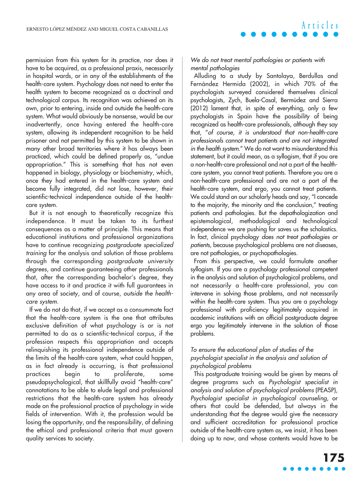permission from this system for its practice, nor does it have to be acquired, as a professional praxis, necessarily in hospital wards, or in any of the establishments of the health-care system. Psychology does not need to enter the health system to become recognized as a doctrinal and technological corpus. Its recognition was achieved on its own, prior to entering, inside and outside the health-care system. What would obviously be nonsense, would be our inadvertently, once having entered the health-care system, allowing its independent recognition to be held prisoner and not permitted by this system to be shown in many other broad territories where it has always been practiced, which could be defined properly as, "undue appropriation." This is something that has not even happened in biology, physiology or biochemistry, which, once they had entered in the health-care system and become fully integrated, did not lose, however, their scientific-technical independence outside of the healthcare system.

But it is not enough to theoretically recognize this independence. It must be taken to its furthest consequences as a matter of principle. This means that educational institutions and professional organizations have to continue recognizing postgraduate specialized training for the analysis and solution of those problems through the corresponding postgraduate university degrees, and continue guaranteeing other professionals that, after the corresponding bachelor's degree, they have access to it and practice it with full guarantees in any area of society, and of course, outside the healthcare system.

If we do not do that, if we accept as a consummate fact that the health-care system is the one that attributes exclusive definition of what psychology is or is not permitted to do as a scientific-technical corpus, if the profession respects this appropriation and accepts relinquishing its professional independence outside of the limits of the health-care system, what could happen, as in fact already is occurring, is that professional practices begin to proliferate, some pseudopsychological, that skillfully avoid "health-care" connotations to be able to elude legal and professional restrictions that the health-care system has already made on the professional practice of psychology in wide fields of intervention. With it, the profession would be losing the opportunity, and the responsibility, of defining the ethical and professional criteria that must govern quality services to society.

**Articles**

We do not treat mental pathologies or patients with mental pathologies

Alluding to a study by Santolaya, Berdullas and Fernández Hermida (2002), in which 70% of the psychologists surveyed considered themselves clinical psychologists, Zych, Buela-Casal, Bermúdez and Sierra (2012) lament that, in spite of everything, only a few psychologists in Spain have the possibility of being recognized as health-care professionals, although they say that, "of course, it is understood that non-health-care professionals cannot treat patients and are not integrated in the health system." We do not want to misunderstand this statement, but it could mean, as a syllogism, that if you are a non-health-care professional and not a part of the healthcare system, you cannot treat patients. Therefore you are a non-health-care professional and are not a part of the health-care system, and ergo, you cannot treat patients. We could stand on our scholarly heads and say, "I concede to the majority, the minority and the conclusion," treating patients and pathologies. But the depathologization and epistemological, methodological and technological independence we are pushing for saves us the scholastics. In fact, clinical psychology does not treat pathologies or patients, because psychological problems are not diseases, are not pathologies, or psychopathologies.

From this perspective, we could formulate another syllogism. If you are a psychology professional competent in the analysis and solution of psychological problems, and not necessarily a health-care professional, you can intervene in solving those problems, and not necessarily within the health-care system. Thus you are a psychology professional with proficiency legitimately acquired in academic institutions with an official postgraduate degree ergo you legitimately intervene in the solution of those problems.

#### To ensure the educational plan of studies of the psychologist specialist in the analysis and solution of psychological problems

This postgraduate training would be given by means of degree programs such as Psychologist specialist in analysis and solution of psychological problems (PEASP), Psychologist specialist in psychological counseling, or others that could be defended, but always in the understanding that the degree would give the necessary and sufficient accreditation for professional practice outside of the health-care system as, we insist, it has been doing up to now, and whose contents would have to be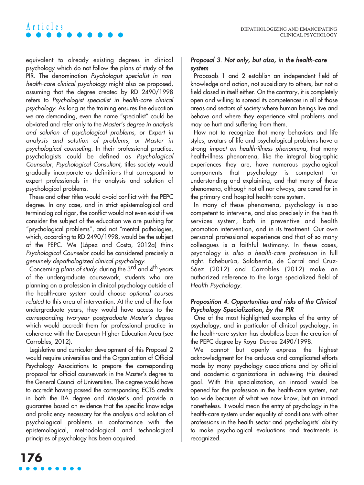equivalent to already existing degrees in clinical psychology which do not follow the plans of study of the PIR. The denomination Psychologist specialist in nonhealth-care clinical psychology might also be proposed, assuming that the degree created by RD 2490/1998 refers to Psychologist specialist in health-care clinical psychology. As long as the training ensures the education we are demanding, even the name "specialist" could be obviated and refer only to the Master's degree in analysis and solution of psychological problems, or Expert in analysis and solution of problems, or Master in psychological counseling. In their professional practice, psychologists could be defined as Psychological Counselor, Psychological Consultant, titles society would gradually incorporate as definitions that correspond to expert professionals in the analysis and solution of psychological problems.

**Articles**

These and other titles would avoid conflict with the PEPC degree. In any case, and in strict epistemological and terminological rigor, the conflict would not even exist if we consider the subject of the education we are pushing for "psychological problems", and not "mental pathologies, which, according to RD 2490/1998, would be the subject of the PEPC. We (López and Costa, 2012a) think Psychological Counselor could be considered precisely a genuinely depathologized clinical psychology.

Concerning plans of study, during the 3rd and 4<sup>th</sup> years of the undergraduate coursework, students who are planning on a profession in clinical psychology outside of the health-care system could choose optional courses related to this area of intervention. At the end of the four undergraduate years, they would have access to the corresponding two-year postgraduate Master's degree which would accredit them for professional practice in coherence with the European Higher Education Area (see Carrobles, 2012).

Legislative and curricular development of this Proposal 2 would require universities and the Organization of Official Psychology Associations to prepare the corresponding proposal for official coursework in the Master's degree to the General Council of Universities. The degree would have to accredit having passed the corresponding ECTS credits in both the BA degree and Master's and provide a guarantee based on evidence that the specific knowledge and proficiency necessary for the analysis and solution of psychological problems in conformance with the epistemological, methodological and technological principles of psychology has been acquired.

### Proposal 3. Not only, but also, in the health-care system

Proposals 1 and 2 establish an independent field of knowledge and action, not subsidiary to others, but not a field closed in itself either. On the contrary, it is completely open and willing to spread its competences in all of those areas and sectors of society where human beings live and behave and where they experience vital problems and may be hurt and suffering from them.

How not to recognize that many behaviors and life styles, avatars of life and psychological problems have a strong impact on health-illness phenomena, that many health-illness phenomena, like the integral biographic experiences they are, have numerous psychological components that psychology is competent for understanding and explaining, and that many of those phenomena, although not all nor always, are cared for in the primary and hospital health-care system.

In many of these phenomena, psychology is also competent to intervene, and also precisely in the health services system, both in preventive and health promotion intervention, and in its treatment. Our own personal professional experience and that of so many colleagues is a faithful testimony. In these cases, psychology is also a health-care profession in full right. Echeburúa, Salaberría, de Corral and Cruz-Sáez (2012) and Carrobles (2012) make an authorized reference to the large specialized field of Health Psychology.

### Proposition 4. Opportunities and risks of the Clinical Psychology Specialization, by the PIR

One of the most highlighted examples of the entry of psychology, and in particular of clinical psychology, in the health-care system has doubtless been the creation of the PEPC degree by Royal Decree 2490/1998.

We cannot but openly express the highest acknowledgment for the arduous and complicated efforts made by many psychology associations and by official and academic organizations in achieving this desired goal. With this specialization, an inroad would be opened for the profession in the health-care system, not too wide because of what we now know, but an inroad nonetheless. It would mean the entry of psychology in the health-care system under equality of conditions with other professions in the health sector and psychologists' ability to make psychological evaluations and treatments is recognized.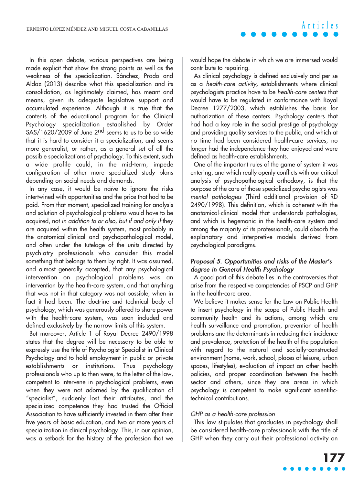In this open debate, various perspectives are being made explicit that show the strong points as well as the weakness of the specialization. Sánchez, Prado and Aldaz (2013) describe what this specialization and its consolidation, as legitimately claimed, has meant and means, given its adequate legislative support and accumulated experience. Although it is true that the contents of the educational program for the Clinical Psychology specialization established by Order SAS/1620/2009 of June 2<sup>nd</sup> seems to us to be so wide that it is hard to consider it a specialization, and seems more generalist, or rather, as a general set of all the possible specializations of psychology. To this extent, such a wide profile could, in the mid-term, impede configuration of other more specialized study plans depending on social needs and demands.

In any case, it would be naïve to ignore the risks intertwined with opportunities and the price that had to be paid. From that moment, specialized training for analysis and solution of psychological problems would have to be acquired, not in addition to or also, but if and only if they are acquired within the health system, most probably in the anatomical-clinical and psychopathological model, and often under the tutelage of the units directed by psychiatry professionals who consider this model something that belongs to them by right. It was assumed, and almost generally accepted, that any psychological intervention on psychological problems was an intervention by the health-care system, and that anything that was not in that category was not possible, when in fact it had been. The doctrine and technical body of psychology, which was generously offered to share power with the health-care system, was soon included and defined exclusively by the narrow limits of this system.

But moreover, Article 1 of Royal Decree 2490/1998 states that the degree will be necessary to be able to expressly use the title of Psychologist Specialist in Clinical Psychology and to hold employment in public or private establishments or institutions. Thus psychology professionals who up to then were, to the letter of the law, competent to intervene in psychological problems, even when they were not adorned by the qualification of "specialist", suddenly lost their attributes, and the specialized competence they had trusted the Official Association to have sufficiently invested in them after their five years of basic education, and two or more years of specialization in clinical psychology. This, in our opinion, was a setback for the history of the profession that we would hope the debate in which we are immersed would contribute to repairing.

**Articles**

As clinical psychology is defined exclusively and per se as a health-care activity, establishments where clinical psychologists practice have to be health-care centers that would have to be regulated in conformance with Royal Decree 1277/2003, which establishes the basis for authorization of these centers. Psychology centers that had had a key role in the social prestige of psychology and providing quality services to the public, and which at no time had been considered health-care services, no longer had the independence they had enjoyed and were defined as health-care establishments.

One of the important rules of the game of system it was entering, and which really openly conflicts with our critical analysis of psychopathological orthodoxy, is that the purpose of the care of those specialized psychologists was mental pathologies (Third additional provision of RD 2490/1998). This definition, which is coherent with the anatomical-clinical model that understands pathologies, and which is hegemonic in the health-care system and among the majority of its professionals, could absorb the explanatory and interpretive models derived from psychological paradigms.

### Proposal 5. Opportunities and risks of the Master's degree in General Health Psychology

A good part of this debate lies in the controversies that arise from the respective competencies of PSCP and GHP in the health-care area.

We believe it makes sense for the Law on Public Health to insert psychology in the scope of Public Health and community health and its actions, among which are health surveillance and promotion, prevention of health problems and the determinants in reducing their incidence and prevalence, protection of the health of the population with regard to the natural and socially-constructed environment (home, work, school, places of leisure, urban spaces, lifestyles), evaluation of impact on other health policies, and proper coordination between the health sector and others, since they are areas in which psychology is competent to make significant scientifictechnical contributions.

#### GHP as a health-care profession

This law stipulates that graduates in psychology shall be considered health-care professionals with the title of GHP when they carry out their professional activity on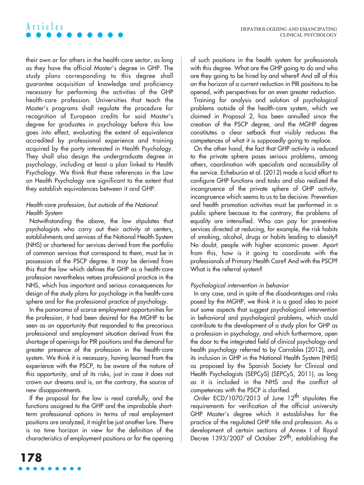# **Articles**

their own or for others in the health-care sector, as long as they have the official Master's degree in GHP. The study plans corresponding to this degree shall guarantee acquisition of knowledge and proficiency necessary for performing the activities of the GHP health-care profession. Universities that teach the Master's programs shall regulate the procedure for recognition of European credits for said Master's degree for graduates in psychology before this law goes into effect, evaluating the extent of equivalence accredited by professional experience and training acquired by the party interested in Health Psychology. They shall also design the undergraduate degree in psychology, including at least a plan linked to Health Psychology. We think that these references in the Law on Health Psychology are significant to the extent that they establish equivalences between it and GHP.

### Health-care profession, but outside of the National Health System

Notwithstanding the above, the law stipulates that psychologists who carry out their activity at centers, establishments and services of the National Health System (NHS) or chartered for services derived from the portfolio of common services that correspond to them, must be in possession of the PSCP degree. It may be derived from this that the law which defines the GHP as a health-care profession nevertheless vetoes professional practice in the NHS, which has important and serious consequences for design of the study plans for psychology in the health-care sphere and for the professional practice of psychology.

In the panorama of scarce employment opportunities for the profession, it had been desired for the MGHP to be seen as an opportunity that responded to the precarious professional and employment situation derived from the shortage of openings for PIR positions and the demand for greater presence of the profession in the health-care system. We think it is necessary, having learned from the experience with the PSCP, to be aware of the nature of this opportunity, and of its risks, just in case it does not crown our dreams and is, on the contrary, the source of new disappointments.

If the proposal for the law is read carefully, and the functions assigned to the GHP and the improbable shortterm professional options in terms of real employment positions are analyzed, it might be just another lure. There is no time horizon in view for the definition of the characteristics of employment positions or for the opening of such positions in the health system for professionals with this degree. What are the GHP going to do and who are they going to be hired by and where? And all of this on the horizon of a current reduction in PIR positions to be opened, with perspectives for an even greater reduction.

Training for analysis and solution of psychological problems outside of the health-care system, which we claimed in Proposal 2, has been annulled since the creation of the PSCP degree, and the MGHP degree constitutes a clear setback that visibly reduces the competences of what it is supposedly going to replace.

On the other hand, the fact that GHP activity is reduced to the private sphere poses serious problems, among others, coordination with specialists and accessibility of the service. Echeburúa et al. (2012) made a lucid effort to configure GHP functions and tasks and also realized the incongruence of the private sphere of GHP activity, incongruence which seems to us to be decisive. Prevention and health promotion activities must be performed in a public sphere because to the contrary, the problems of equality are intensified. Who can pay for preventive services directed at reducing, for example, the risk habits of smoking, alcohol, drugs or habits leading to obesity? No doubt, people with higher economic power. Apart from this, how is it going to coordinate with the professionals of Primary Health Care? And with the PSCP? What is the referral system?

#### Psychological intervention in behavior

In any case, and in spite of the disadvantages and risks posed by the MGHP, we think it is a good idea to point out some aspects that suggest psychological intervention in behavioral and psychological problems, which could contribute to the development of a study plan for GHP as a profession in psychology, and which furthermore, open the door to the integrated field of clinical psychology and health psychology referred to by Carrobles (2012), and its inclusion in GHP in the National Health System (NHS) as proposed by the Spanish Society for Clinical and Health Psychologists (SEPCyS) (SEPCyS, 2011), as long as it is included in the NHS and the conflict of competences with the PSCP is clarified.

Order ECD/1070/2013 of June 12<sup>th</sup> stipulates the requirements for verification of the official university GHP Master's degree which it estasblishes for the practice of the regulated GHP title and profession. As a development of certain sections of Annex I of Royal Decree 1393/2007 of October 29<sup>th</sup>, establishing the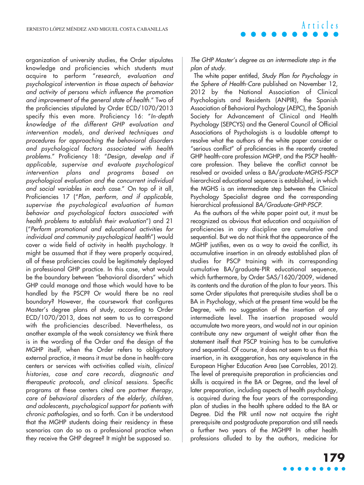organization of university studies, the Order stipulates knowledge and proficiencies which students must acquire to perform "research, evaluation and psychological intervention in those aspects of behavior and activity of persons which influence the promotion and improvement of the general state of health." Two of the proficiencies stipulated by Order ECD/1070/2013 specify this even more. Proficiency 16: "In-depth knowledge of the different GHP evaluation and intervention models, and derived techniques and procedures for approaching the behavioral disorders and psychological factors associated with health problems." Proficiency 18: "Design, develop and if applicable, supervise and evaluate psychological intervention plans and programs based on psychological evaluation and the concurrent individual and social variables in each case." On top of it all, Proficiencies 17 ("Plan, perform, and if applicable, supervise the psychological evaluation of human behavior and psychological factors associated with health problems to establish their evaluation") and 21 ("Perform promotional and educational activities for individual and community psychological health") would cover a wide field of activity in health psychology. It might be assumed that if they were properly acquired, all of these proficiencies could be legitimately deployed in professional GHP practice. In this case, what would be the boundary between "behavioral disorders" which GHP could manage and those which would have to be handled by the PSCP? Or would there be no real boundary? However, the coursework that configures Master's degree plans of study, according to Order ECD/1070/2013, does not seem to us to correspond with the proficiencies described. Nevertheless, as another example of the weak consistency we think there is in the wording of the Order and the design of the MGHP itself, when the Order refers to obligatory external practice, it means it must be done in health-care centers or services with activities called visits, clinical histories, case and care records, diagnostic and therapeutic protocols, and clinical sessions. Specific programs at these centers cited are partner therapy, care of behavioral disorders of the elderly, children, and adolescents, psychological support for patients with chronic pathologies, and so forth. Can it be understood that the MGHP students doing their residency in these scenarios can do so as a professional practice when they receive the GHP degree? It might be supposed so.

The GHP Master's degree as an intermediate step in the <sup>p</sup>lan of study.

The white paper entitled, Study Plan for Psychology in the Sphere of Health-Care published on November 12, 2012 by the National Association of Clinical Psychologists and Residents (ANPIR), the Spanish Association of Behavioral Psychology (AEPC), the Spanish Society for Advancement of Clinical and Health Psychology (SEPCYS) and the General Council of Official Associations of Psychologists is a laudable attempt to resolve what the authors of the white paper consider a "serious conflict" of proficiencies in the recently created GHP health-care profession MGHP, and the PSCP healthcare profession. They believe the conflict cannot be resolved or avoided unless a BA/graduate-MGHS-PSCP hierarchical educational sequence is established, in which the MGHS is an intermediate step between the Clinical Psychology Specialist degree and the corresponding hierarchical professional BA/Graduate-GHP-PSCP.

As the authors of the white paper point out, it must be recognized as obvious that education and acquisition of proficiencies in any discipline are cumulative and sequential. But we do not think that the appearance of the MGHP justifies, even as a way to avoid the conflict, its accumulative insertion in an already established plan of studies for PSCP training with its corresponding cumulative BA/graduate-PIR educational sequence, which furthermore, by Order SAS/1620/2009, widened its contents and the duration of the plan to four years. This same Order stipulates that prerequisite studies shall be a BA in Psychology, which at the present time would be the Degree, with no suggestion of the insertion of any intermediate level. The insertion proposed would accumulate two more years, and would not in our opinion contribute any new argument of weight other than the statement itself that PSCP training has to be cumulative and sequential. Of course, it does not seem to us that this insertion, in its exaggeration, has any equivalence in the European Higher Education Area (see Carrobles, 2012). The level of prerequisite preparation in proficiencies and skills is acquired in the BA or Degree, and the level of later preparation, including aspects of health psychology, is acquired during the four years of the corresponding plan of studies in the health sphere added to the BA or Degree. Did the PIR until now not acquire the right prerequisite and postgraduate preparation and still needs a further two years of the MGHP? In other health professions alluded to by the authors, medicine for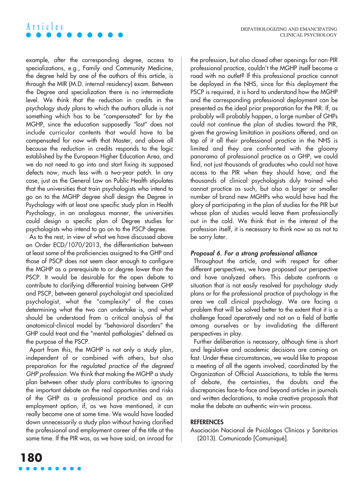example, after the corresponding degree, access to specializations, e.g., Family and Community Medicine, the degree held by one of the authors of this article, is through the MIR (M.D. internal residency) exam. Between the Degree and specialization there is no intermediate level. We think that the reduction in credits in the psychology study plans to which the authors allude is not something which has to be "compensated" for by the MGHP, since the education supposedly "lost" does not include curricular contents that would have to be compensated for now with that Master, and above all because the reduction in credits responds to the logic established by the European Higher Education Area, and we do not need to go into and start fixing its supposed defects now, much less with a two-year patch. In any case, just as the General Law on Public Health stipulates that the universities that train psychologists who intend to go on to the MGHP degree shall design the Degree in Psychology with at least one specific study plan in Health Psychology, in an analogous manner, the universities could design a specific plan of Degree studies for psychologists who intend to go on to the PSCP degree.

**Articles**

As to the rest, in view of what we have discussed above on Order ECD/1070/2013, the differentiation between at least some of the proficiencies assigned to the GHP and those of PSCP does not seem clear enough to configure the MGHP as a prerequisite to or degree lower than the PSCP. It would be desirable for the open debate to contribute to clarifying differential training between GHP and PSCP, between general psychologist and specialized psychologist, what the "complexity" of the cases determining what the two can undertake is, and what should be understood from a critical analysis of the anatomical-clinical model by "behavioral disorders" the GHP could treat and the "mental pathologies" defined as the purpose of the PSCP.

Apart from this, the MGHP is not only a study plan, independent of or combined with others, but also preparation for the regulated practice of the degreed GHP profession. We think that making the MGHP a study plan between other study plans contributes to ignoring the important debate on the real opportunities and risks of the GHP as a professional practice and as an employment option, if, as we have mentioned, it can really become one at some time. We would have loaded down unnecessarily a study plan without having clarified the professional and employment career of the title at the same time. If the PIR was, as we have said, an inroad for the profession, but also closed other openings for non-PIR professional practice, couldn't the MGHP itself become a road with no outlet? If this professional practice cannot be deployed in the NHS, since for this deployment the PSCP is required, it is hard to understand how the MGHP and the corresponding professional deployment can be presented as the ideal prior preparation for the PIR. If, as probably will probably happen, a large number of GHPs could not continue the plan of studies toward the PIR, given the growing limitation in positions offered, and on top of it all their professional practice in the NHS is limited and they are confronted with the gloomy panorama of professional practice as a GHP, we could find, not just thousands of graduates who could not have access to the PIR when they should have, and the thousands of clinical psychologists duly trained who cannot practice as such, but also a larger or smaller number of brand new MGHPs who would have had the glory of participating in the plan of studies for the PIR but whose plan of studies would leave them professionally out in the cold. We think that in the interest of the profession itself, it is necessary to think now so as not to be sorry later.

#### Proposal 6. For a strong professional alliance

Throughout the article, and with respect for other different perspectives, we have proposed our perspective and have analyzed others. This debate confronts a situation that is not easily resolved for psychology study plans or for the professional practice of psychology in the area we call clinical psychology. We are facing a problem that will be solved better to the extent that it is a challenge faced operatively and not on a field of battle among ourselves or by invalidating the different perspectives in play.

Further deliberation is necessary, although time is short and legislative and academic decisions are coming on fast. Under these circumstances, we would like to propose a meeting of all the agents involved, coordinated by the Organization of Official Associations, to table the terms of debate, the certainties, the doubts and the discrepancies face-to-face and beyond articles in journals and written declarations, to make creative proposals that make the debate an authentic win-win process.

#### **REFERENCES**

Asociación Nacional de Psicólogos Clínicos y Sanitarios (2013). Comunicado [Comuniqué].